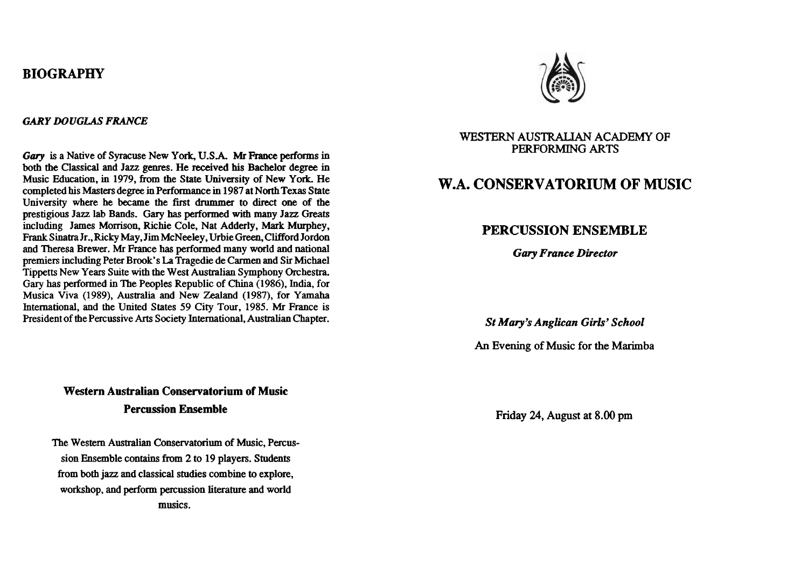## **BIOGRAPHY**

#### *GARY DOUGLAS FRANCE*

**Gary** is a Native of Syracuse New York, U.S.A. **Mr France** performs in both the Classical and Jazz genres. He received his Bachelor degree in Music Education, in 1979, from the **State** University of New York He completed his Masters degree in Performance in 1987 at North Texas State University where he became the first drummer to direct one of the prestigious Jazz lab Bands. Gary **has** performed with many Jazz Greats including James Morrison, Richie Cole, Nat Adderly, **Mark** Murphey, Frank Sinatra Jr., Ricky May, Jim McNeeley, Urbie Green, Clifford Jordon and Theresa Brewer. **Mr** France has performed many world and national premiers including Peter Brook's La Tragedie de Carmen and Sir Michael Tippetts New Years Suite with the West Australian Symphony Orchestra. Gary has performed in The Peoples Republic of China (1986), India, for Musica Viva (1989), Australia and New Zealand (1987), for **Yamaha**  International, and the United States 59 City Tour, 1985. **Mr France** is President of the Percussive Arts Society International, Australian Chapter.

# **Western Australian Conservatorium of Music Percussion Ensemble**

The Western Australian Conservatorium of Music, Percussion Ensemble contains from 2 to 19 players. Students from both jazz and classical studies combine to explore, workshop, and perform percussion literature and world musics.



#### **WESTERN** AUSTRALIAN ACADEMY **OF PERFORMING** ARTS

# **W.A. CONSERVATORIUM OF MUSIC**

## **PERCUSSION ENSEMBLE**

*Gary France Director* 

*St* **Mary's** *Anglican* **Girls'** *School* 

*An* **Evening** of Music for the Marimba

Friday 24, August at 8.00 pm